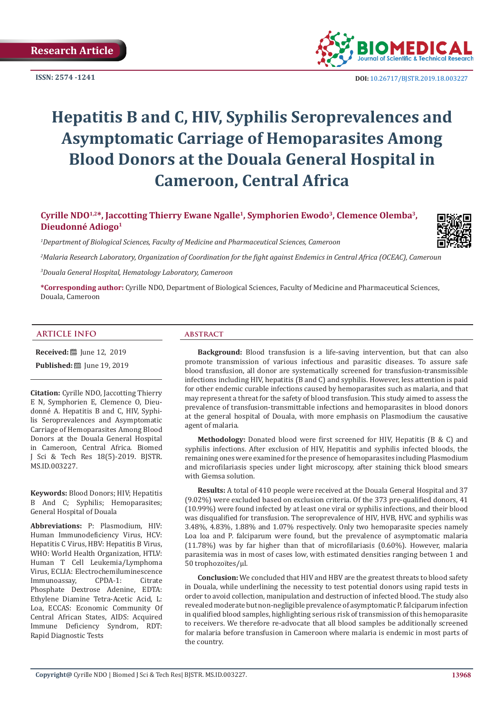**ISSN: 2574 -1241**



 **DOI:** [10.26717/BJSTR.2019.18.003227](http://dx.doi.org/10.26717/BJSTR.2019.18.003227)

# **Hepatitis B and C, HIV, Syphilis Seroprevalences and Asymptomatic Carriage of Hemoparasites Among Blood Donors at the Douala General Hospital in Cameroon, Central Africa**

Cyrille NDO<sup>1,2\*</sup>, Jaccotting Thierry Ewane Ngalle<sup>1</sup>, Symphorien Ewodo<sup>3</sup>, Clemence Olemba<sup>3</sup>, **Dieudonné Adiogo1**

*1 Department of Biological Sciences, Faculty of Medicine and Pharmaceutical Sciences, Cameroon*

*2 Malaria Research Laboratory, Organization of Coordination for the fight against Endemics in Central Africa (OCEAC), Cameroun*

*3 Douala General Hospital, Hematology Laboratory, Cameroon*

**\*Corresponding author:** Cyrille NDO, Department of Biological Sciences, Faculty of Medicine and Pharmaceutical Sciences, Douala, Cameroon

#### **ARTICLE INFO abstract**

MS.ID.003227.

**Received:** ■ June 12, 2019 **Published:** ■ June 19, 2019

**Citation:** Cyrille NDO, Jaccotting Thierry E N, Symphorien E, Clemence O, Dieudonné A. Hepatitis B and C, HIV, Syphilis Seroprevalences and Asymptomatic Carriage of Hemoparasites Among Blood Donors at the Douala General Hospital in Cameroon, Central Africa. Biomed J Sci & Tech Res 18(5)-2019. BJSTR.

**Keywords:** Blood Donors; HIV; Hepatitis B And C; Syphilis; Hemoparasites; General Hospital of Douala

**Abbreviations:** P: Plasmodium, HIV: Human Immunodeficiency Virus, HCV: Hepatitis C Virus, HBV: Hepatitis B Virus, WHO: World Health Organization, HTLV: Human T Cell Leukemia/Lymphoma Virus, ECLIA: Electrochemiluminescence<br>Immunoassay, CPDA-1: Citrate Immunoassay, CPDA-1: Citrate Phosphate Dextrose Adenine, EDTA: Ethylene Diamine Tetra-Acetic Acid, L: Loa, ECCAS: Economic Community Of Central African States, AIDS: Acquired Immune Deficiency Syndrom, RDT: Rapid Diagnostic Tests

**Background:** Blood transfusion is a life-saving intervention, but that can also promote transmission of various infectious and parasitic diseases. To assure safe blood transfusion, all donor are systematically screened for transfusion-transmissible infections including HIV, hepatitis (B and C) and syphilis. However, less attention is paid for other endemic curable infections caused by hemoparasites such as malaria, and that may represent a threat for the safety of blood transfusion. This study aimed to assess the prevalence of transfusion-transmittable infections and hemoparasites in blood donors at the general hospital of Douala, with more emphasis on Plasmodium the causative agent of malaria.

**Methodology:** Donated blood were first screened for HIV, Hepatitis (B & C) and syphilis infections. After exclusion of HIV, Hepatitis and syphilis infected bloods, the remaining ones were examined for the presence of hemoparasites including Plasmodium and microfilariasis species under light microscopy, after staining thick blood smears with Giemsa solution.

**Results:** A total of 410 people were received at the Douala General Hospital and 37 (9.02%) were excluded based on exclusion criteria. Of the 373 pre-qualified donors, 41 (10.99%) were found infected by at least one viral or syphilis infections, and their blood was disqualified for transfusion. The seroprevalence of HIV, HVB, HVC and syphilis was 3.48%, 4.83%, 1.88% and 1.07% respectively. Only two hemoparasite species namely Loa loa and P. falciparum were found, but the prevalence of asymptomatic malaria (11.78%) was by far higher than that of microfilariasis (0.60%). However, malaria parasitemia was in most of cases low, with estimated densities ranging between 1 and 50 trophozoïtes/µl.

**Conclusion:** We concluded that HIV and HBV are the greatest threats to blood safety in Douala, while underlining the necessity to test potential donors using rapid tests in order to avoid collection, manipulation and destruction of infected blood. The study also revealed moderate but non-negligible prevalence of asymptomatic P. falciparum infection in qualified blood samples, highlighting serious risk of transmission of this hemoparasite to receivers. We therefore re-advocate that all blood samples be additionally screened for malaria before transfusion in Cameroon where malaria is endemic in most parts of the country.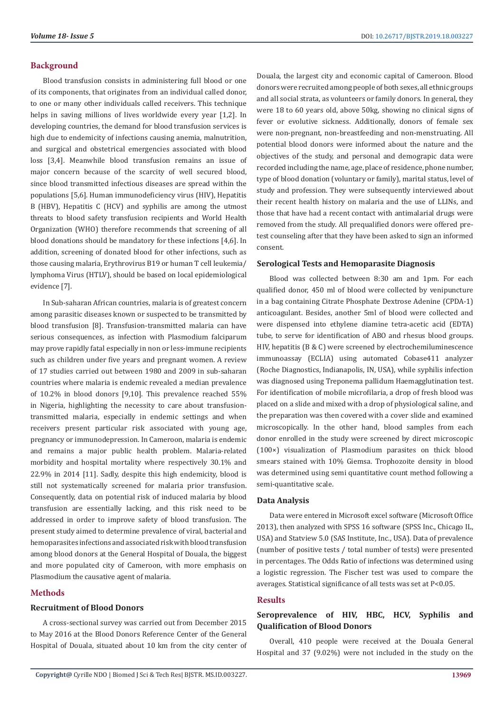#### **Background**

Blood transfusion consists in administering full blood or one of its components, that originates from an individual called donor, to one or many other individuals called receivers. This technique helps in saving millions of lives worldwide every year [1,2]. In developing countries, the demand for blood transfusion services is high due to endemicity of infections causing anemia, malnutrition, and surgical and obstetrical emergencies associated with blood loss [3,4]. Meanwhile blood transfusion remains an issue of major concern because of the scarcity of well secured blood, since blood transmitted infectious diseases are spread within the populations [5,6]. Human immunodeficiency virus (HIV), Hepatitis B (HBV), Hepatitis C (HCV) and syphilis are among the utmost threats to blood safety transfusion recipients and World Health Organization (WHO) therefore recommends that screening of all blood donations should be mandatory for these infections [4,6]. In addition, screening of donated blood for other infections, such as those causing malaria, Erythrovirus B19 or human T cell leukemia/ lymphoma Virus (HTLV), should be based on local epidemiological evidence [7].

In Sub-saharan African countries, malaria is of greatest concern among parasitic diseases known or suspected to be transmitted by blood transfusion [8]. Transfusion-transmitted malaria can have serious consequences, as infection with Plasmodium falciparum may prove rapidly fatal especially in non or less-immune recipients such as children under five years and pregnant women. A review of 17 studies carried out between 1980 and 2009 in sub-saharan countries where malaria is endemic revealed a median prevalence of 10.2% in blood donors [9,10]. This prevalence reached 55% in Nigeria, highlighting the necessity to care about transfusiontransmitted malaria, especially in endemic settings and when receivers present particular risk associated with young age, pregnancy or immunodepression. In Cameroon, malaria is endemic and remains a major public health problem. Malaria-related morbidity and hospital mortality where respectively 30.1% and 22.9% in 2014 [11]. Sadly, despite this high endemicity, blood is still not systematically screened for malaria prior transfusion. Consequently, data on potential risk of induced malaria by blood transfusion are essentially lacking, and this risk need to be addressed in order to improve safety of blood transfusion. The present study aimed to determine prevalence of viral, bacterial and hemoparasites infections and associated risk with blood transfusion among blood donors at the General Hospital of Douala, the biggest and more populated city of Cameroon, with more emphasis on Plasmodium the causative agent of malaria.

### **Methods**

# **Recruitment of Blood Donors**

A cross-sectional survey was carried out from December 2015 to May 2016 at the Blood Donors Reference Center of the General Hospital of Douala, situated about 10 km from the city center of Douala, the largest city and economic capital of Cameroon. Blood donors were recruited among people of both sexes, all ethnic groups and all social strata, as volunteers or family donors. In general, they were 18 to 60 years old, above 50kg, showing no clinical signs of fever or evolutive sickness. Additionally, donors of female sex were non-pregnant, non-breastfeeding and non-menstruating. All potential blood donors were informed about the nature and the objectives of the study, and personal and demograpic data were recorded including the name, age, place of residence, phone number, type of blood donation (voluntary or family), marital status, level of study and profession. They were subsequently interviewed about their recent health history on malaria and the use of LLINs, and those that have had a recent contact with antimalarial drugs were removed from the study. All prequalified donors were offered pretest counseling after that they have been asked to sign an informed consent.

# **Serological Tests and Hemoparasite Diagnosis**

Blood was collected between 8:30 am and 1pm. For each qualified donor, 450 ml of blood were collected by venipuncture in a bag containing Citrate Phosphate Dextrose Adenine (CPDA-1) anticoagulant. Besides, another 5ml of blood were collected and were dispensed into ethylene diamine tetra-acetic acid (EDTA) tube, to serve for identification of ABO and rhesus blood groups. HIV, hepatitis (B & C) were screened by electrochemiluminescence immunoassay (ECLIA) using automated Cobase411 analyzer (Roche Diagnostics, Indianapolis, IN, USA), while syphilis infection was diagnosed using Treponema pallidum Haemagglutination test. For identification of mobile microfilaria, a drop of fresh blood was placed on a slide and mixed with a drop of physiological saline, and the preparation was then covered with a cover slide and examined microscopically. In the other hand, blood samples from each donor enrolled in the study were screened by direct microscopic (100×) visualization of Plasmodium parasites on thick blood smears stained with 10% Giemsa. Trophozoite density in blood was determined using semi quantitative count method following a semi-quantitative scale.

### **Data Analysis**

Data were entered in Microsoft excel software (Microsoft Office 2013), then analyzed with SPSS 16 software (SPSS Inc., Chicago IL, USA) and Statview 5.0 (SAS Institute, Inc., USA). Data of prevalence (number of positive tests / total number of tests) were presented in percentages. The Odds Ratio of infections was determined using a logistic regression. The Fischer test was used to compare the averages. Statistical significance of all tests was set at P<0.05.

#### **Results**

# **Seroprevalence of HIV, HBC, HCV, Syphilis and Qualification of Blood Donors**

Overall, 410 people were received at the Douala General Hospital and 37 (9.02%) were not included in the study on the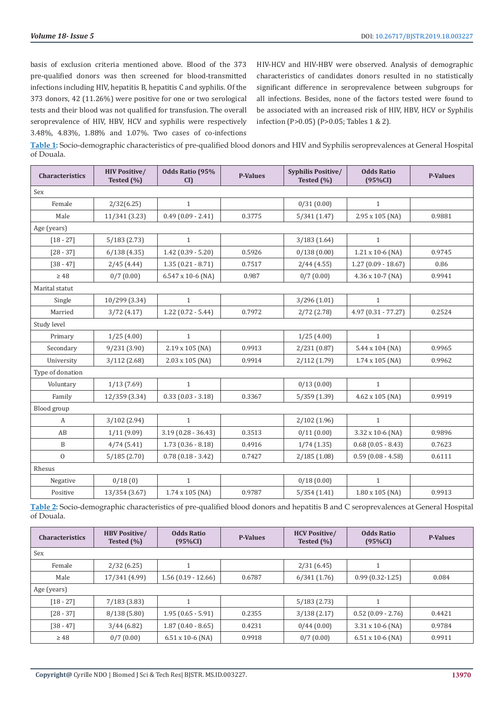basis of exclusion criteria mentioned above. Blood of the 373 pre-qualified donors was then screened for blood-transmitted infections including HIV, hepatitis B, hepatitis C and syphilis. Of the 373 donors, 42 (11.26%) were positive for one or two serological tests and their blood was not qualified for transfusion. The overall seroprevalence of HIV, HBV, HCV and syphilis were respectively 3.48%, 4.83%, 1.88% and 1.07%. Two cases of co-infections

HIV-HCV and HIV-HBV were observed. Analysis of demographic characteristics of candidates donors resulted in no statistically significant difference in seroprevalence between subgroups for all infections. Besides, none of the factors tested were found to be associated with an increased risk of HIV, HBV, HCV or Syphilis infection (P>0.05) (P>0.05; Tables 1 & 2).

**Table 1:** Socio-demographic characteristics of pre-qualified blood donors and HIV and Syphilis seroprevalences at General Hospital of Douala.

| Characteristics  | <b>HIV Positive/</b><br>Tested $(\% )$ | Odds Ratio (95%<br>CI | <b>P-Values</b> | Syphilis Positive/<br>Tested (%) | <b>Odds Ratio</b><br>(95%CI) | <b>P-Values</b> |  |
|------------------|----------------------------------------|-----------------------|-----------------|----------------------------------|------------------------------|-----------------|--|
| Sex              |                                        |                       |                 |                                  |                              |                 |  |
| Female           | 2/32(6.25)                             | $\mathbf{1}$          |                 | 0/31(0.00)                       | $\mathbf{1}$                 |                 |  |
| Male             | 11/341 (3.23)                          | $0.49(0.09 - 2.41)$   | 0.3775          | 5/341(1.47)                      | 2.95 x 105 (NA)              | 0.9881          |  |
| Age (years)      |                                        |                       |                 |                                  |                              |                 |  |
| $[18 - 27]$      | 5/183(2.73)                            | $\mathbf{1}$          |                 | 3/183(1.64)                      | $\mathbf{1}$                 |                 |  |
| $[28 - 37]$      | 6/138(4.35)                            | $1.42(0.39 - 5.20)$   | 0.5926          | 0/138(0.00)                      | 1.21 x 10-6 (NA)             | 0.9745          |  |
| $[38 - 47]$      | 2/45(4.44)                             | $1.35(0.21 - 8.71)$   | 0.7517          | 2/44(4.55)                       | $1.27(0.09 - 18.67)$         | 0.86            |  |
| $\geq 48$        | 0/7(0.00)                              | 6.547 x 10-6 (NA)     | 0.987           | 0/7(0.00)                        | $4.36 \times 10-7$ (NA)      | 0.9941          |  |
| Marital statut   |                                        |                       |                 |                                  |                              |                 |  |
| Single           | 10/299 (3.34)                          | $\mathbf{1}$          |                 | 3/296(1.01)                      | $\mathbf{1}$                 |                 |  |
| Married          | 3/72(4.17)                             | $1.22(0.72 - 5.44)$   | 0.7972          | 2/72(2.78)                       | $4.97(0.31 - 77.27)$         | 0.2524          |  |
| Study level      |                                        |                       |                 |                                  |                              |                 |  |
| Primary          | 1/25(4.00)                             | $\mathbf{1}$          |                 | 1/25(4.00)                       | $\mathbf{1}$                 |                 |  |
| Secondary        | 9/231(3.90)                            | 2.19 x 105 (NA)       | 0.9913          | 2/231(0.87)                      | 5.44 x 104 (NA)              | 0.9965          |  |
| University       | 3/112(2.68)                            | 2.03 x 105 (NA)       | 0.9914          | 2/112(1.79)                      | $1.74 \times 105$ (NA)       | 0.9962          |  |
| Type of donation |                                        |                       |                 |                                  |                              |                 |  |
| Voluntary        | 1/13(7.69)                             | $\mathbf{1}$          |                 | 0/13(0.00)                       | $\mathbf{1}$                 |                 |  |
| Family           | 12/359 (3.34)                          | $0.33(0.03 - 3.18)$   | 0.3367          | 5/359(1.39)                      | $4.62 \times 105$ (NA)       | 0.9919          |  |
| Blood group      |                                        |                       |                 |                                  |                              |                 |  |
| A                | 3/102(2.94)                            | $\mathbf{1}$          |                 | 2/102(1.96)                      | $\mathbf{1}$                 |                 |  |
| AB               | 1/11(9.09)                             | $3.19(0.28 - 36.43)$  | 0.3513          | 0/11(0.00)                       | 3.32 x 10-6 (NA)             | 0.9896          |  |
| B                | 4/74(5.41)                             | $1.73(0.36 - 8.18)$   | 0.4916          | 1/74(1.35)                       | $0.68(0.05 - 8.43)$          | 0.7623          |  |
| $\mathbf{0}$     | 5/185(2.70)                            | $0.78(0.18 - 3.42)$   | 0.7427          | 2/185(1.08)                      | $0.59(0.08 - 4.58)$          | 0.6111          |  |
| Rhesus           |                                        |                       |                 |                                  |                              |                 |  |
| Negative         | 0/18(0)                                | $\mathbf{1}$          |                 | 0/18(0.00)                       | $\mathbf{1}$                 |                 |  |
| Positive         | 13/354 (3.67)                          | 1.74 x 105 (NA)       | 0.9787          | 5/354(1.41)                      | 1.80 x 105 (NA)              | 0.9913          |  |

**Table 2:** Socio-demographic characteristics of pre-qualified blood donors and hepatitis B and C seroprevalences at General Hospital of Douala.

| <b>Characteristics</b> | <b>HBV Positive/</b><br>Tested $(\% )$ | <b>Odds Ratio</b><br>(95%CI) | <b>P-Values</b> | <b>HCV Positive/</b><br>Tested $(\% )$ | <b>Odds Ratio</b><br>$(95\%CI)$ | <b>P-Values</b> |
|------------------------|----------------------------------------|------------------------------|-----------------|----------------------------------------|---------------------------------|-----------------|
| Sex                    |                                        |                              |                 |                                        |                                 |                 |
| Female                 | 2/32(6.25)                             |                              |                 | 2/31(6.45)                             |                                 |                 |
| Male                   | 17/341 (4.99)                          | $1.56(0.19 - 12.66)$         | 0.6787          | 6/341(1.76)                            | $0.99(0.32-1.25)$               | 0.084           |
| Age (years)            |                                        |                              |                 |                                        |                                 |                 |
| $[18 - 27]$            | 7/183(3.83)                            |                              |                 | 5/183(2.73)                            |                                 |                 |
| $[28 - 37]$            | 8/138(5.80)                            | $1.95(0.65 - 5.91)$          | 0.2355          | 3/138(2.17)                            | $0.52(0.09 - 2.76)$             | 0.4421          |
| $[38 - 47]$            | 3/44(6.82)                             | $1.87(0.40 - 8.65)$          | 0.4231          | 0/44(0.00)                             | $3.31 \times 10-6$ (NA)         | 0.9784          |
| $\geq 48$              | 0/7(0.00)                              | $6.51 \times 10-6$ (NA)      | 0.9918          | 0/7(0.00)                              | $6.51 \times 10-6$ (NA)         | 0.9911          |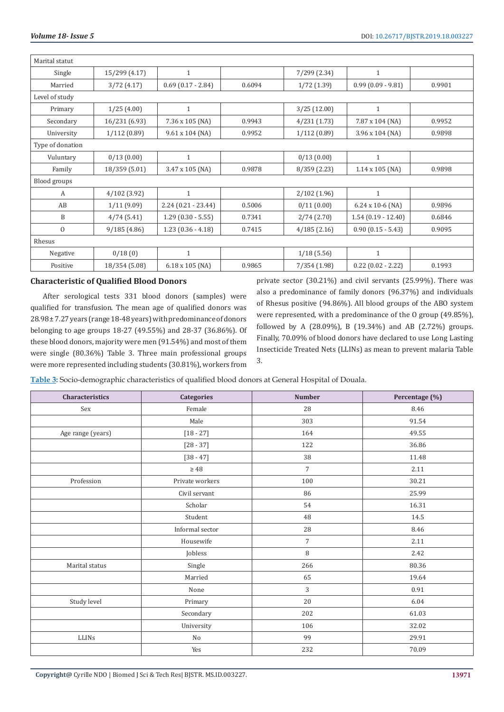| Marital statut   |               |                        |        |               |                         |        |
|------------------|---------------|------------------------|--------|---------------|-------------------------|--------|
| Single           | 15/299 (4.17) | 1                      |        | 7/299 (2.34)  | $\mathbf{1}$            |        |
| Married          | 3/72(4.17)    | $0.69(0.17 - 2.84)$    | 0.6094 | $1/72$ (1.39) | $0.99(0.09 - 9.81)$     | 0.9901 |
| Level of study   |               |                        |        |               |                         |        |
| Primary          | 1/25(4.00)    | $\mathbf{1}$           |        | 3/25 (12.00)  | $\mathbf{1}$            |        |
| Secondary        | 16/231 (6.93) | 7.36 x 105 (NA)        | 0.9943 | 4/231(1.73)   | 7.87 x 104 (NA)         | 0.9952 |
| University       | 1/112(0.89)   | $9.61 \times 104$ (NA) | 0.9952 | 1/112(0.89)   | $3.96 \times 104$ (NA)  | 0.9898 |
| Type of donation |               |                        |        |               |                         |        |
| Vuluntary        | 0/13(0.00)    | $\mathbf{1}$           |        | 0/13(0.00)    | $\mathbf{1}$            |        |
| Family           | 18/359 (5.01) | 3.47 x 105 (NA)        | 0.9878 | 8/359 (2.23)  | $1.14 \times 105$ (NA)  | 0.9898 |
| Blood groups     |               |                        |        |               |                         |        |
| А                | 4/102 (3.92)  | 1                      |        | 2/102(1.96)   | $\mathbf{1}$            |        |
| AB               | 1/11(9.09)    | $2.24(0.21 - 23.44)$   | 0.5006 | 0/11(0.00)    | $6.24 \times 10-6$ (NA) | 0.9896 |
| B                | 4/74(5.41)    | $1.29(0.30 - 5.55)$    | 0.7341 | 2/74(2.70)    | $1.54(0.19 - 12.40)$    | 0.6846 |
| $\overline{0}$   | 9/185(4.86)   | $1.23(0.36 - 4.18)$    | 0.7415 | 4/185(2.16)   | $0.90(0.15 - 5.43)$     | 0.9095 |
| Rhesus           |               |                        |        |               |                         |        |
| Negative         | 0/18(0)       | $\mathbf{1}$           |        | 1/18(5.56)    | $\mathbf{1}$            |        |
| Positive         | 18/354 (5.08) | $6.18 \times 105$ (NA) | 0.9865 | 7/354(1.98)   | $0.22$ (0.02 - 2.22)    | 0.1993 |

# **Characteristic of Qualified Blood Donors**

After serological tests 331 blood donors (samples) were qualified for transfusion. The mean age of qualified donors was 28.98 ± 7.27 years (range 18-48 years) with predominance of donors belonging to age groups 18-27 (49.55%) and 28-37 (36.86%). Of these blood donors, majority were men (91.54%) and most of them were single (80.36%) Table 3. Three main professional groups were more represented including students (30.81%), workers from

private sector (30.21%) and civil servants (25.99%). There was also a predominance of family donors (96.37%) and individuals of Rhesus positive (94.86%). All blood groups of the ABO system were represented, with a predominance of the O group (49.85%), followed by A (28.09%), B (19.34%) and AB (2.72%) groups. Finally, 70.09% of blood donors have declared to use Long Lasting Insecticide Treated Nets (LLINs) as mean to prevent malaria Table 3.

**Table 3:** Socio-demographic characteristics of qualified blood donors at General Hospital of Douala.

| <b>Characteristics</b> | <b>Categories</b> | <b>Number</b>  | Percentage (%) |
|------------------------|-------------------|----------------|----------------|
| Sex                    | Female            | 28             | 8.46           |
|                        | Male              | 303            | 91.54          |
| Age range (years)      | $[18 - 27]$       | 164            | 49.55          |
|                        | $[28 - 37]$       | 122            | 36.86          |
|                        | $[38 - 47]$       | 38             | 11.48          |
|                        | $\geq 48$         | $\overline{7}$ | 2.11           |
| Profession             | Private workers   | 100            | 30.21          |
|                        | Civil servant     | 86             | 25.99          |
|                        | Scholar           | 54             | 16.31          |
|                        | Student           | $\rm 48$       | 14.5           |
|                        | Informal sector   | 28             | 8.46           |
|                        | Housewife         | $\overline{7}$ | 2.11           |
|                        | Jobless           | $\, 8$         | 2.42           |
| Marital status         | Single            | 266            | 80.36          |
|                        | Married           | 65             | 19.64          |
|                        | None              | 3              | 0.91           |
| Study level            | Primary           | 20             | 6.04           |
|                        | Secondary         | 202            | 61.03          |
|                        | University        | 106            | 32.02          |
| LLINS                  | No                | 99             | 29.91          |
|                        | Yes               | 232            | 70.09          |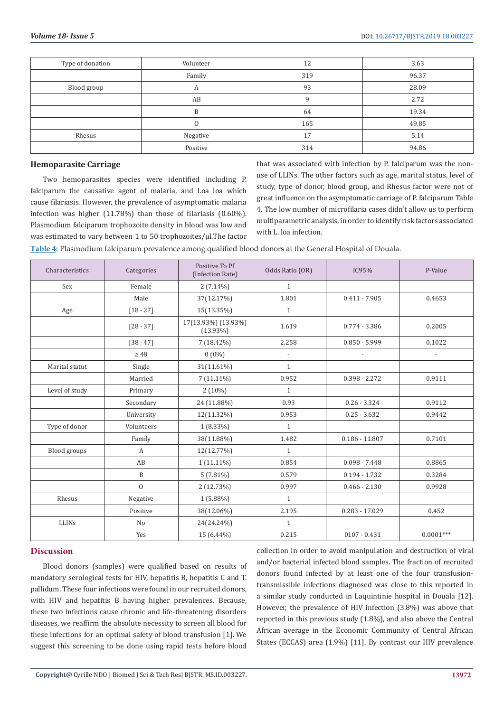| Type of donation | Volunteer | 12  | 3.63  |
|------------------|-----------|-----|-------|
|                  | Family    | 319 | 96.37 |
| Blood group      | А         | 93  | 28.09 |
|                  | AB        | c   | 2.72  |
|                  | B         | 64  | 19.34 |
|                  |           | 165 | 49.85 |
| Rhesus           | Negative  | 17  | 5.14  |
|                  | Positive  | 314 | 94.86 |

#### **Hemoparasite Carriage**

Two hemoparasites species were identified including P. falciparum the causative agent of malaria, and Loa loa which cause filariasis. However, the prevalence of asymptomatic malaria infection was higher (11.78%) than those of filariasis (0.60%). Plasmodium falciparum trophozoite density in blood was low and was estimated to vary between 1 to 50 trophozoites/µl.The factor that was associated with infection by P. falciparum was the nonuse of LLINs. The other factors such as age, marital status, level of study, type of donor, blood group, and Rhesus factor were not of great influence on the asymptomatic carriage of P. falciparum Table 4. The low number of microfilaria cases didn't allow us to perform multiparametric analysis, in order to identify risk factors associated with L. loa infection.

**Table 4:** Plasmodium falciparum prevalence among qualified blood donors at the General Hospital of Douala.

| Characteristics | Categories     | Positive To Pf<br>(Infection Rate) | Odds Ratio (OR)          | IC95%            | P-Value                  |
|-----------------|----------------|------------------------------------|--------------------------|------------------|--------------------------|
| Sex             | Female         | $2(7.14\%)$                        | $\mathbf{1}$             |                  |                          |
|                 | Male           | 37(12.17%)                         | 1.801                    | $0.411 - 7.905$  | 0.4653                   |
| Age             | $[18 - 27]$    | 15(13.35%)                         | $\mathbf{1}$             |                  |                          |
|                 | $[28 - 37]$    | 17(13.93%) (13.93%)<br>$(13.93\%)$ | 1.619                    | $0.774 - 3.386$  | 0.2005                   |
|                 | $[38 - 47]$    | $7(18.42\%)$                       | 2.258                    | $0.850 - 5.999$  | 0.1022                   |
|                 | $\geq 48$      | $0(0\%)$                           | $\overline{\phantom{a}}$ |                  | $\overline{\phantom{a}}$ |
| Marital statut  | Single         | 31(11.61%)                         | $\mathbf{1}$             |                  |                          |
|                 | Married        | $7(11.11\%)$                       | 0.952                    | $0.398 - 2.272$  | 0.9111                   |
| Level of study  | Primary        | $2(10\%)$                          | $\mathbf{1}$             |                  |                          |
|                 | Secondary      | 24 (11.88%)                        | 0.93                     | $0.26 - 3.324$   | 0.9112                   |
|                 | University     | 12(11.32%)                         | 0.953                    | $0.25 - 3.632$   | 0.9442                   |
| Type of donor   | Volunteers     | $1(8.33\%)$                        | $\mathbf{1}$             |                  |                          |
|                 | Family         | 38(11.88%)                         | 1.482                    | $0.186 - 11.807$ | 0.7101                   |
| Blood groups    | $\mathbf{A}$   | 12(12.77%)                         | $\mathbf{1}$             |                  |                          |
|                 | AB             | $1(11.11\%)$                       | 0.854                    | $0.098 - 7.448$  | 0.8865                   |
|                 | B              | $5(7.81\%)$                        | 0.579                    | $0.194 - 1.732$  | 0.3284                   |
|                 | $\mathbf{0}$   | 2 (12.73%)                         | 0.997                    | $0.466 - 2.130$  | 0.9928                   |
| Rhesus          | Negative       | $1(5.88\%)$                        | $\mathbf{1}$             |                  |                          |
|                 | Positive       | 38(12.06%)                         | 2.195                    | $0.283 - 17.029$ | 0.452                    |
| LLINS           | N <sub>o</sub> | 24(24.24%)                         | $\mathbf{1}$             |                  |                          |
|                 | Yes            | 15 (6.44%)                         | 0.215                    | $0107 - 0.431$   | $0.0001***$              |

# **Discussion**

Blood donors (samples) were qualified based on results of mandatory serological tests for HIV, hepatitis B, hepatitis C and T. pallidum. These four infections were found in our recruited donors, with HIV and hepatitis B having higher prevalences. Because, these two infections cause chronic and life-threatening disorders diseases, we reaffirm the absolute necessity to screen all blood for these infections for an optimal safety of blood transfusion [1]. We suggest this screening to be done using rapid tests before blood

collection in order to avoid manipulation and destruction of viral and/or bacterial infected blood samples. The fraction of recruited donors found infected by at least one of the four transfusiontransmissible infections diagnosed was close to this reported in a similar study conducted in Laquintinie hospital in Douala [12]. However, the prevalence of HIV infection (3.8%) was above that reported in this previous study (1.8%), and also above the Central African average in the Economic Community of Central African States (ECCAS) area (1.9%) [11]. By contrast our HIV prevalence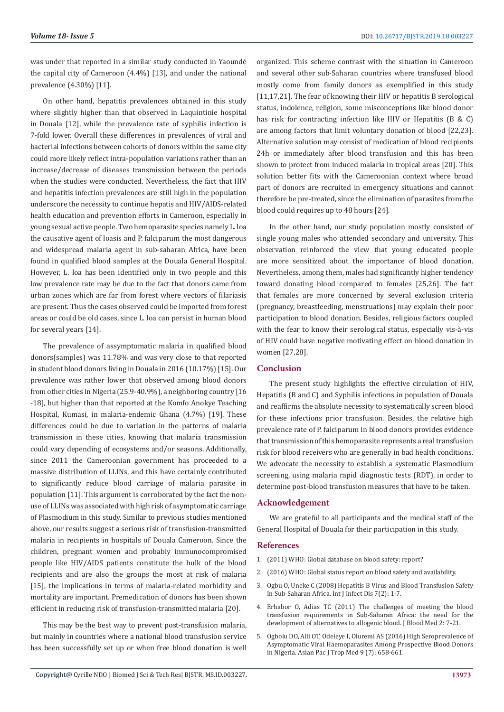was under that reported in a similar study conducted in Yaoundé the capital city of Cameroon (4.4%) [13], and under the national prevalence (4.30%) [11].

On other hand, hepatitis prevalences obtained in this study where slightly higher than that observed in Laquintinie hospital in Douala [12], while the prevalence rate of syphilis infection is 7-fold lower. Overall these differences in prevalences of viral and bacterial infections between cohorts of donors within the same city could more likely reflect intra-population variations rather than an increase/decrease of diseases transmission between the periods when the studies were conducted. Nevertheless, the fact that HIV and hepatitis infection prevalences are still high in the population underscore the necessity to continue hepatis and HIV/AIDS-related health education and prevention efforts in Cameroon, especially in young sexual active people. Two hemoparasite species namely L. loa the causative agent of loasis and P. falciparum the most dangerous and widespread malaria agent in sub-saharan Africa, have been found in qualified blood samples at the Douala General Hospital. However, L. loa has been identified only in two people and this low prevalence rate may be due to the fact that donors came from urban zones which are far from forest where vectors of filariasis are present. Thus the cases observed could be imported from forest areas or could be old cases, since L. loa can persist in human blood for several years [14].

The prevalence of assymptomatic malaria in qualified blood donors(samples) was 11.78% and was very close to that reported in student blood donors living in Douala in 2016 (10.17%) [15]. Our prevalence was rather lower that observed among blood donors from other cities in Nigeria (25.9-40.9%), a neighboring country [16 -18], but higher than that reported at the Komfo Anokye Teaching Hospital, Kumasi, in malaria-endemic Ghana (4.7%) [19]. These differences could be due to variation in the patterns of malaria transmission in these cities, knowing that malaria transmission could vary depending of ecosystems and/or seasons. Additionally, since 2011 the Cameroonian government has proceeded to a massive distribution of LLINs, and this have certainly contributed to significantly reduce blood carriage of malaria parasite in population [11]. This argument is corroborated by the fact the nonuse of LLINs was associated with high risk of asymptomatic carriage of Plasmodium in this study. Similar to previous studies mentioned above, our results suggest a serious risk of transfusion-transmitted malaria in recipients in hospitals of Douala Cameroon. Since the children, pregnant women and probably immunocompromised people like HIV/AIDS patients constitute the bulk of the blood recipients and are also the groups the most at risk of malaria [15], the implications in terms of malaria-related morbidity and mortality are important. Premedication of donors has been shown efficient in reducing risk of transfusion-transmitted malaria [20].

This may be the best way to prevent post-transfusion malaria, but mainly in countries where a national blood transfusion service has been successfully set up or when free blood donation is well

organized. This scheme contrast with the situation in Cameroon and several other sub-Saharan countries where transfused blood mostly come from family donors as exemplified in this study [11,17,21]. The fear of knowing their HIV or hepatitis B serological status, indolence, religion, some misconceptions like blood donor has risk for contracting infection like HIV or Hepatitis (B & C) are among factors that limit voluntary donation of blood [22,23]. Alternative solution may consist of medication of blood recipients 24h or immediately after blood transfusion and this has been shown to protect from induced malaria in tropical areas [20]. This solution better fits with the Cameroonian context where broad part of donors are recruited in emergency situations and cannot therefore be pre-treated, since the elimination of parasites from the blood could requires up to 48 hours [24].

In the other hand, our study population mostly consisted of single young males who attended secondary and university. This observation reinforced the view that young educated people are more sensitized about the importance of blood donation. Nevertheless, among them, males had significantly higher tendency toward donating blood compared to females [25,26]. The fact that females are more concerned by several exclusion criteria (pregnancy, breastfeeding, menstruations) may explain their poor participation to blood donation. Besides, religious factors coupled with the fear to know their serological status, especially vis-à-vis of HIV could have negative motivating effect on blood donation in women [27,28].

# **Conclusion**

The present study highlights the effective circulation of HIV, Hepatitis (B and C) and Syphilis infections in population of Douala and reaffirms the absolute necessity to systematically screen blood for these infections prior transfusion. Besides, the relative high prevalence rate of P. falciparum in blood donors provides evidence that transmission of this hemoparasite represents a real transfusion risk for blood receivers who are generally in bad health conditions. We advocate the necessity to establish a systematic Plasmodium screening, using malaria rapid diagnostic tests (RDT), in order to determine post-blood transfusion measures that have to be taken.

# **Acknowledgement**

We are grateful to all participants and the medical staff of the General Hospital of Douala for their participation in this study.

# **References**

- 1. [\(2011\) WHO: Global database on blood safety: report?](https://www.who.int/bloodsafety/global_database/GDBS_Summary_Report_2011.pdf)
- 2. [\(2016\) WHO: Global status report on blood safety and availability.](https://apps.who.int/iris/handle/10665/254987)
- 3. [Ogbu O, Uneke C \(2008\) Hepatitis B Virus and Blood Transfusion Safety](https://print.ispub.com/api/0/ispub-article/4114) [In Sub-Saharan Africa. Int J Infect Dis 7\(2\): 1-7.](https://print.ispub.com/api/0/ispub-article/4114)
- 4. [Erhabor O, Adias TC \(2011\) The challenges of meeting the blood](https://www.ncbi.nlm.nih.gov/pmc/articles/PMC3262349/) [transfusion requirements in Sub-Saharan Africa: the need for the](https://www.ncbi.nlm.nih.gov/pmc/articles/PMC3262349/) [development of alternatives to allogenic blood. J Blood Med 2: 7-21.](https://www.ncbi.nlm.nih.gov/pmc/articles/PMC3262349/)
- 5. [Ogbolu DO, Alli OT, Odeleye I, Oluremi AS \(2016\) High Seroprevalence of](https://www.sciencedirect.com/science/article/pii/S1995764516300992) [Asymptomatic Viral Haemoparasites Among Prospective Blood Donors](https://www.sciencedirect.com/science/article/pii/S1995764516300992) [in Nigeria. Asian Pac J Trop Med 9 \(7\): 658-661.](https://www.sciencedirect.com/science/article/pii/S1995764516300992)